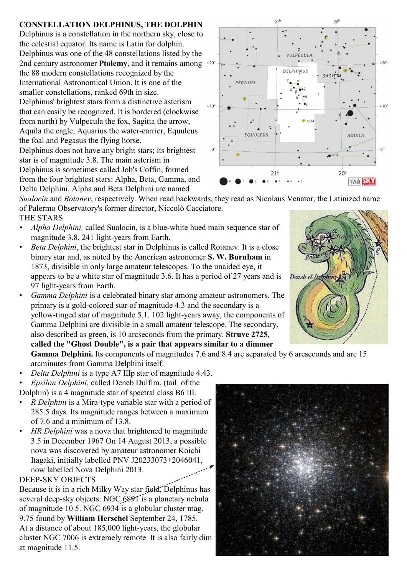## **CONSTELLATION DELPHINUS, THE DOLPHIN**

Delphinus is a constellation in the northern sky, close to the celestial equator. Its name is Latin for dolphin. Delphinus was one of the 48 constellations listed by the 2nd century astronomer **Ptolemy**, and it remains among the 88 modern constellations recognized by the International Astronomical Union. It is one of the smaller constellations, ranked 69th in size. Delphinus' brightest stars form a distinctive asterism that can easily be recognized. It is bordered (clockwise from north) by Vulpecula the fox, Sagitta the arrow, Aquila the eagle, Aquarius the water-carrier, Equuleus the foal and Pegasus the flying horse. Delphinus does not have any bright stars; its brightest

star is of magnitude 3.8. The main asterism in Delphinus is sometimes called Job's Coffin, formed from the four brightest stars: Alpha, Beta, Gamma, and Delta Delphini. Alpha and Beta Delphini are named



- *• Alpha Delphini,* called Sualocin, is a blue-white hued main sequence star of magnitude 3.8, 241 light-years from Earth.
- *Beta Delphini*, the brightest star in Delphinus is called Rotanev. It is a close binary star and, as noted by the American astronomer **S. W. Burnham** in 1873, divisible in only large amateur telescopes. To the unaided eye, it appears to be a white star of magnitude 3.6. It has a period of 27 years and is 97 light-years from Earth.
- *Gamma Delphini* is a celebrated binary star among amateur astronomers. The primary is a gold-colored star of magnitude 4.3 and the secondary is a yellow-tinged star of magnitude 5.1. 102 light-years away, the components of Gamma Delphini are divisible in a small amateur telescope. The secondary, also described as green, is 10 arcseconds from the primary. **Struve 2725, called the "Ghost Double", is a pair that appears similar to a dimmer** Gamma Delphini. Its components of magnitudes 7.6 and 8.4 are separated by 6 arcseconds and are 15

arcminutes from Gamma Delphini itself.

- *Delta Delphini* is a type A7 IIIp star of magnitude 4.43.
- *Epsilon Delphini*, called Deneb Dulfim, (tail of the
- Dolphin) is a 4 magnitude star of spectral class B6 III.
- *R Delphini* is a Mira-type variable star with a period of 285.5 days. Its magnitude ranges between a maximum of 7.6 and a minimum of 13.8.
- *HR Delphini* was a nova that brightened to magnitude 3.5 in December 1967 On 14 August 2013, a possible nova was discovered by amateur astronomer Koichi Itagaki, initially labelled PNV J20233073+2046041, now labelled Nova Delphini 2013.

## DEEP-SKY OBJECTS

Because it is in a rich Milky Way star field, Delphinus has several deep-sky objects: NGC 6891 is a planetary nebula of magnitude 10.5. NGC 6934 is a globular cluster mag. 9.75 found by **William Herschel** September 24, 1785. At a distance of about 185,000 light-years, the globular cluster NGC 7006 is extremely remote. It is also fairly dim at magnitude 11.5.